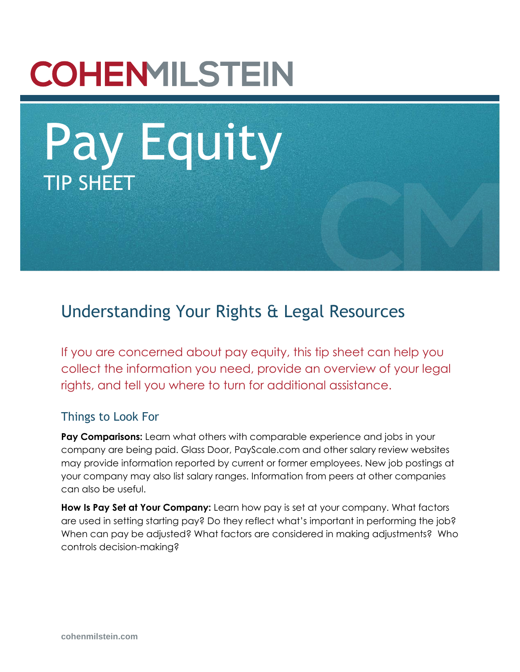# **COHENMILSTEIN**

Pay Equity TIP SHEET

# Understanding Your Rights & Legal Resources

If you are concerned about pay equity, this tip sheet can help you collect the information you need, provide an overview of your legal rights, and tell you where to turn for additional assistance.

#### Things to Look For

**Pay Comparisons:** Learn what others with comparable experience and jobs in your company are being paid. Glass Door, PayScale.com and other salary review websites may provide information reported by current or former employees. New job postings at your company may also list salary ranges. Information from peers at other companies can also be useful.

**How Is Pay Set at Your Company:** Learn how pay is set at your company. What factors are used in setting starting pay? Do they reflect what's important in performing the job? When can pay be adjusted? What factors are considered in making adjustments? Who controls decision-making?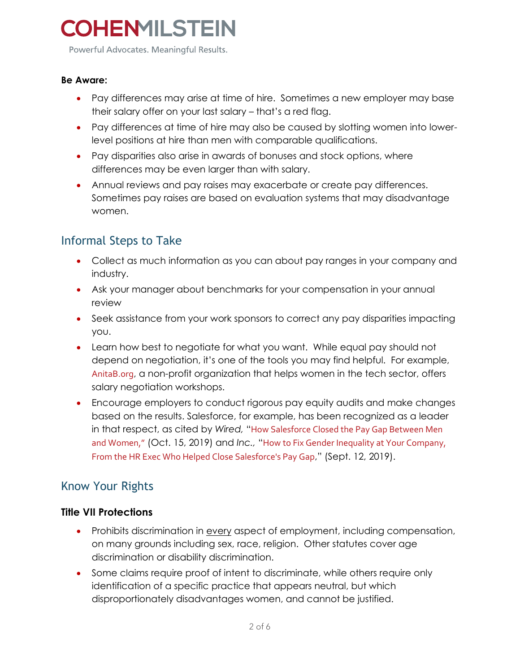Powerful Advocates. Meaningful Results.

#### **Be Aware:**

- Pay differences may arise at time of hire. Sometimes a new employer may base their salary offer on your last salary – that's a red flag.
- Pay differences at time of hire may also be caused by slotting women into lowerlevel positions at hire than men with comparable qualifications.
- Pay disparities also arise in awards of bonuses and stock options, where differences may be even larger than with salary.
- Annual reviews and pay raises may exacerbate or create pay differences. Sometimes pay raises are based on evaluation systems that may disadvantage women.

### Informal Steps to Take

- Collect as much information as you can about pay ranges in your company and industry.
- Ask your manager about benchmarks for your compensation in your annual review
- Seek assistance from your work sponsors to correct any pay disparities impacting you.
- Learn how best to negotiate for what you want. While equal pay should not depend on negotiation, it's one of the tools you may find helpful. For example, [AnitaB.org](https://careercenter.anitab.org/career-resources/library/?category=3&subcategory=5), a non-profit organization that helps women in the tech sector, offers salary negotiation workshops.
- Encourage employers to conduct rigorous pay equity audits and make changes based on the results. Salesforce, for example, has been recognized as a leader in that respect, as cited by *Wired,* "[How Salesforce Closed the Pay Gap Between Men](https://www.wired.com/story/how-salesforce-closed-pay-gap-between-men-women/)  [and Women,](https://www.wired.com/story/how-salesforce-closed-pay-gap-between-men-women/)" (Oct. 15, 2019) and *Inc.,* "[How to Fix Gender Inequality at Your Company,](https://www.inc.com/sophie-downes/salesforce-cindy-robbins-gender-pay-gap-equity-parity-salary-compensation.html)  [From the HR Exec Who Helped Close Salesforce's Pay Gap](https://www.inc.com/sophie-downes/salesforce-cindy-robbins-gender-pay-gap-equity-parity-salary-compensation.html)," (Sept. 12, 2019).

### Know Your Rights

#### **Title VII Protections**

- Prohibits discrimination in every aspect of employment, including compensation, on many grounds including sex, race, religion. Other statutes cover age discrimination or disability discrimination.
- Some claims require proof of intent to discriminate, while others require only identification of a specific practice that appears neutral, but which disproportionately disadvantages women, and cannot be justified.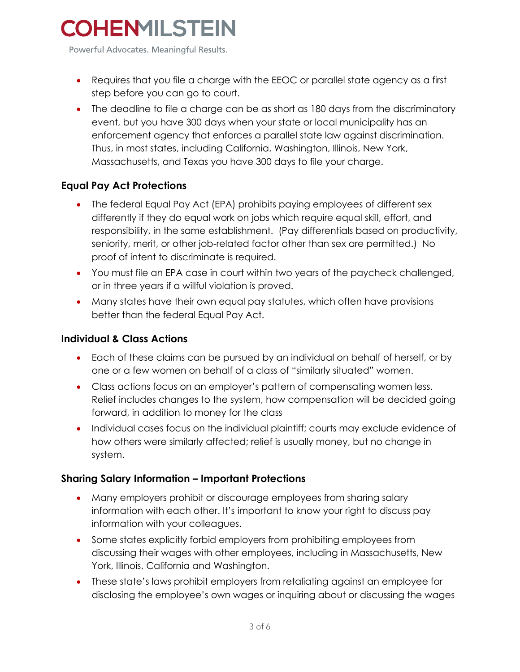Powerful Advocates. Meaningful Results.

- Requires that you file a charge with the EEOC or parallel state agency as a first step before you can go to court.
- The deadline to file a charge can be as short as 180 days from the discriminatory event, but you have 300 days when your state or local municipality has an enforcement agency that enforces a parallel state law against discrimination. Thus, in most states, including California, Washington, Illinois, New York, Massachusetts, and Texas you have 300 days to file your charge.

#### **Equal Pay Act Protections**

- The federal Equal Pay Act (EPA) prohibits paying employees of different sex differently if they do equal work on jobs which require equal skill, effort, and responsibility, in the same establishment. (Pay differentials based on productivity, seniority, merit, or other job-related factor other than sex are permitted.) No proof of intent to discriminate is required.
- You must file an EPA case in court within two years of the paycheck challenged, or in three years if a willful violation is proved.
- Many states have their own equal pay statutes, which often have provisions better than the federal Equal Pay Act.

#### **Individual & Class Actions**

- Each of these claims can be pursued by an individual on behalf of herself, or by one or a few women on behalf of a class of "similarly situated" women.
- Class actions focus on an employer's pattern of compensating women less. Relief includes changes to the system, how compensation will be decided going forward, in addition to money for the class
- Individual cases focus on the individual plaintiff; courts may exclude evidence of how others were similarly affected; relief is usually money, but no change in system.

#### **Sharing Salary Information – Important Protections**

- Many employers prohibit or discourage employees from sharing salary information with each other. It's important to know your right to discuss pay information with your colleagues.
- Some states explicitly forbid employers from prohibiting employees from discussing their wages with other employees, including in Massachusetts, New York, Illinois, California and Washington.
- These state's laws prohibit employers from retaliating against an employee for disclosing the employee's own wages or inquiring about or discussing the wages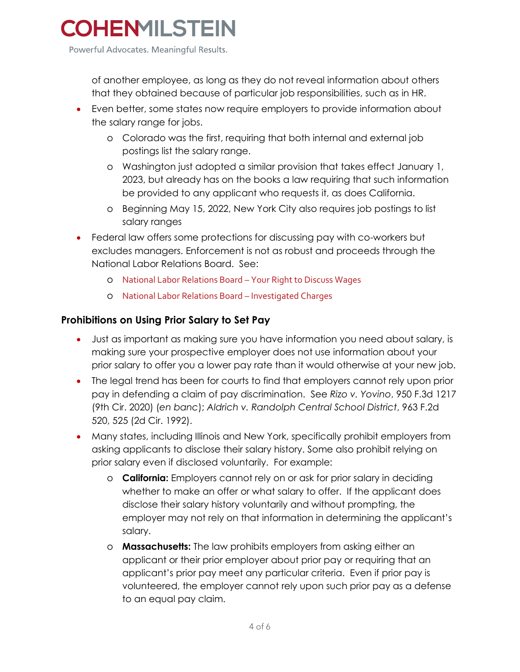Powerful Advocates. Meaningful Results.

of another employee, as long as they do not reveal information about others that they obtained because of particular job responsibilities, such as in HR.

- Even better, some states now require employers to provide information about the salary range for jobs.
	- o Colorado was the first, requiring that both internal and external job postings list the salary range.
	- o Washington just adopted a similar provision that takes effect January 1, 2023, but already has on the books a law requiring that such information be provided to any applicant who requests it, as does California.
	- o Beginning May 15, 2022, New York City also requires job postings to list salary ranges
- Federal law offers some protections for discussing pay with co-workers but excludes managers. Enforcement is not as robust and proceeds through the National Labor Relations Board. See:
	- o [National Labor Relations Board](https://www.nlrb.gov/about-nlrb/rights-we-protect/your-rights/your-rights-to-discuss-wages)  Your Right to Discuss Wages
	- o [National Labor Relations Board](https://www.nlrb.gov/about-nlrb/what-we-do/investigate-charges)  Investigated Charges

#### **Prohibitions on Using Prior Salary to Set Pay**

- Just as important as making sure you have information you need about salary, is making sure your prospective employer does not use information about your prior salary to offer you a lower pay rate than it would otherwise at your new job.
- The legal trend has been for courts to find that employers cannot rely upon prior pay in defending a claim of pay discrimination. See *Rizo v. Yovino*, 950 F.3d 1217 (9th Cir. 2020) (*en banc*); *Aldrich v. Randolph Central School District*, 963 F.2d 520, 525 (2d Cir. 1992).
- Many states, including Illinois and New York, specifically prohibit employers from asking applicants to disclose their salary history. Some also prohibit relying on prior salary even if disclosed voluntarily. For example:
	- o **California:** Employers cannot rely on or ask for prior salary in deciding whether to make an offer or what salary to offer. If the applicant does disclose their salary history voluntarily and without prompting, the employer may not rely on that information in determining the applicant's salary.
	- o **Massachusetts:** The law prohibits employers from asking either an applicant or their prior employer about prior pay or requiring that an applicant's prior pay meet any particular criteria. Even if prior pay is volunteered, the employer cannot rely upon such prior pay as a defense to an equal pay claim.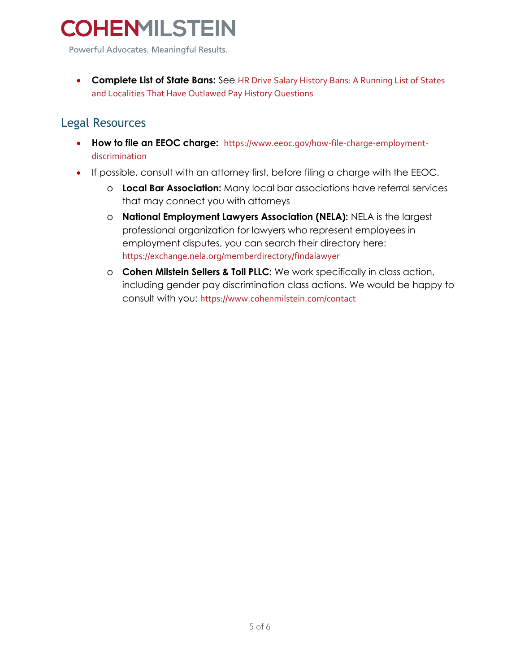Powerful Advocates. Meaningful Results.

• **Complete List of State Bans:** See [HR Drive Salary History Bans: A Running List of States](https://www.hrdive.com/news/salary-history-ban-states-list/516662/)  [and Localities That Have Outlawed Pay History Questions](https://www.hrdive.com/news/salary-history-ban-states-list/516662/)

### Legal Resources

- **How to file an EEOC charge:** [https://www.eeoc.gov/how-file-charge-employment](https://www.eeoc.gov/how-file-charge-employment-discrimination)[discrimination](https://www.eeoc.gov/how-file-charge-employment-discrimination)
- If possible, consult with an attorney first, before filing a charge with the EEOC.
	- o **Local Bar Association:** Many local bar associations have referral services that may connect you with attorneys
	- o **National Employment Lawyers Association (NELA):** NELA is the largest professional organization for lawyers who represent employees in employment disputes, you can search their directory here: <https://exchange.nela.org/memberdirectory/findalawyer>
	- o **Cohen Milstein Sellers & Toll PLLC:** We work specifically in class action, including gender pay discrimination class actions. We would be happy to consult with you: <https://www.cohenmilstein.com/contact>